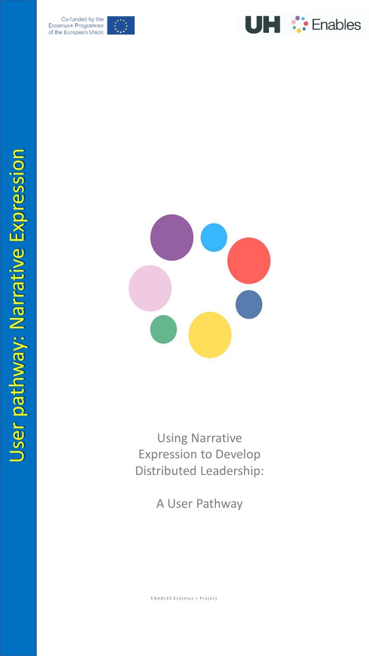





Using Narrative Expression to Develop Distributed Leadership:

A User Pathway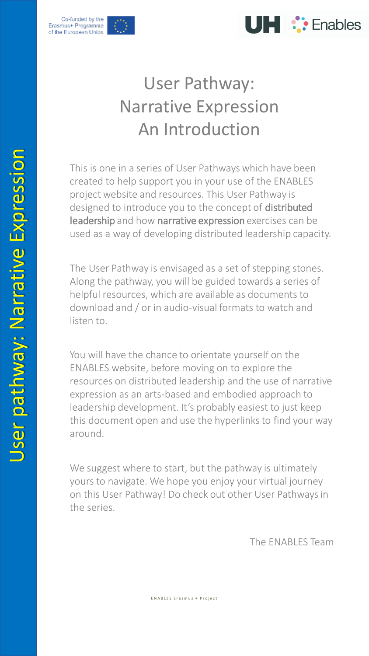



Co-funded by the Erasmus+ Programme of the European Union

## User Pathway: Narrative Expression An Introduction

This is one in a series of User Pathways which have been created to help support you in your use of the ENABLES project website and resources. This User Pathway is designed to introduce you to the concept of distributed leadership and how narrative expression exercises can be used as a way of developing distributed leadership capacity.

The User Pathway is envisaged as a set of stepping stones. Along the pathway, you will be guided towards a series of helpful resources, which are available as documents to download and / or in audio-visual formats to watch and listen to.

You will have the chance to orientate yourself on the ENABLES website, before moving on to explore the resources on distributed leadership and the use of narrative expression as an arts-based and embodied approach to leadership development. It's probably easiest to just keep this document open and use the hyperlinks to find your way around.

We suggest where to start, but the pathway is ultimately yours to navigate. We hope you enjoy your virtual journey on this User Pathway! Do check out other User Pathways in the series.

The ENABLES Team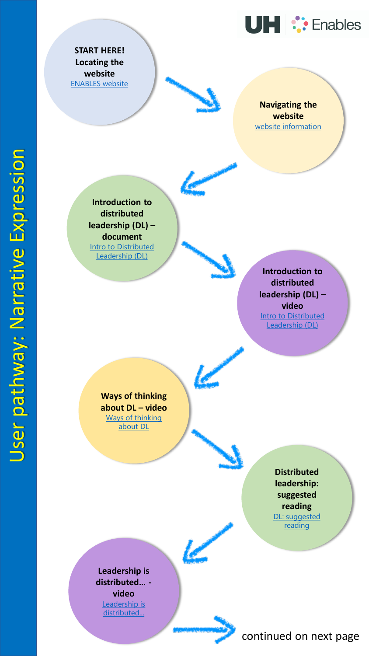

**START HERE! Locating the website** [ENABLES website](https://www.herts.ac.uk/study/schools-of-study/education/research/enables)

> **Navigating the website**  [website information](https://www.herts.ac.uk/__data/assets/pdf_file/0018/340425/1.A.1_Website-information-document.pdf)

**Introduction to distributed leadership (DL) – document** [Intro to Distributed](https://www.herts.ac.uk/__data/assets/pdf_file/0019/340426/1.B.1_Distributed-leadership-information-document.pdf)  Leadership (DL)

> **Introduction to distributed leadership (DL) – video [Intro to Distributed](https://www.youtube.com/watch?v=Oi44LBwHz80&t=5s)** Leadership (DL)

**Ways of thinking about DL – video** [Ways of thinking](https://www.youtube.com/watch?v=R9NJJgp7yT0)  about DL

**Leadership is distributed… video** Leadership is [distributed...](https://www.youtube.com/watch?v=J5F0MNrDSpY&t=7s)

**Distributed leadership: suggested reading** [DL: suggested](https://www.herts.ac.uk/__data/assets/pdf_file/0004/340429/2.B.2_Distributed-leadership-suggested-reading.pdf) reading

continued on next page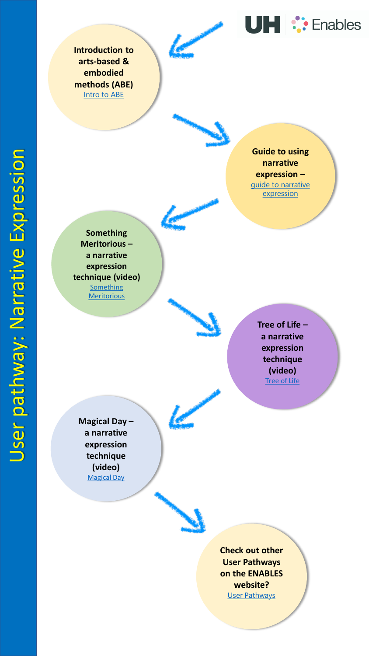**Introduction to arts -based & embodied methods (ABE)** [Intro to ABE](https://www.herts.ac.uk/__data/assets/pdf_file/0020/340427/1.C.1_Artsbased-embodied-information-document.pdf)

> **Guide to using narrative expression –** guide to narrative expression

UH :: Enables

**Something Meritorious – a narrative expression technique (video) Something Meritorious** 

> **Tree of Life – a narrative expression technique (video)** [Tree of Life](https://youtu.be/p1VTKT6vYEU)

**Magical Day – a narrative expression technique (video)** [Magical Day](https://youtu.be/8_01y4AdPeo)



**Check out other User Pathways on the ENABLES website?** [User Pathways](https://www.herts.ac.uk/study/schools-of-study/education/research/enables/resources)